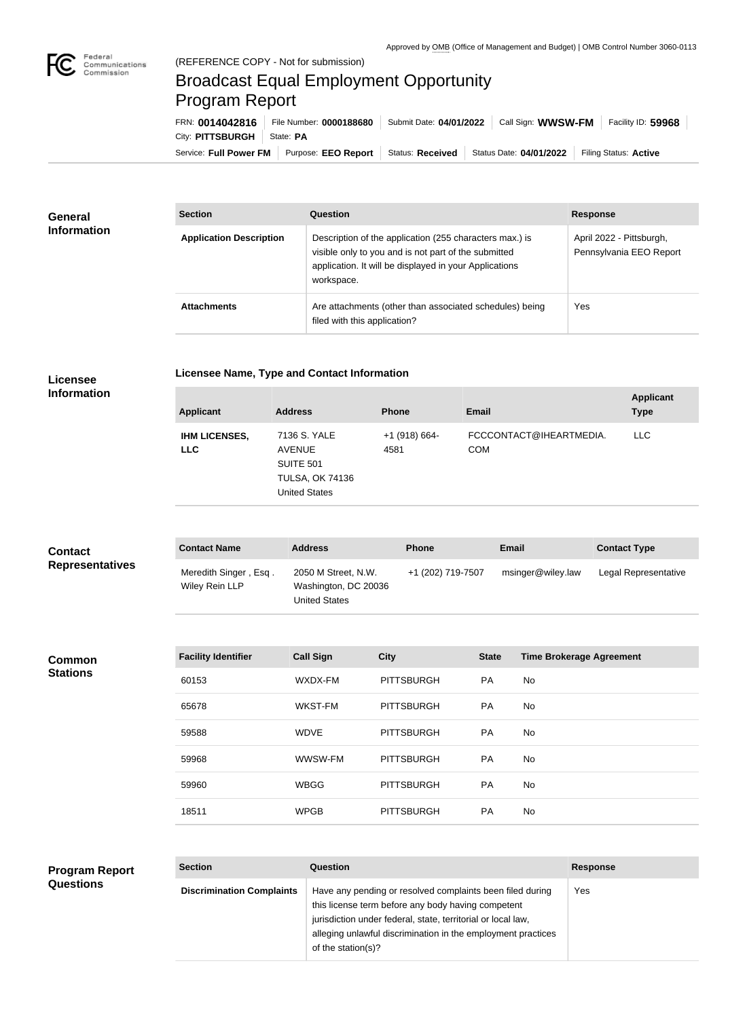

## (REFERENCE COPY - Not for submission) Broadcast Equal Employment Opportunity Program Report

Service: Full Power FM Purpose: EEO Report | Status: Received | Status Date: 04/01/2022 | Filing Status: Active City: **PITTSBURGH** | State: PA FRN: **0014042816** File Number: **0000188680** Submit Date: **04/01/2022** Call Sign: **WWSW-FM** Facility ID: **59968**

| <b>General</b><br><b>Information</b> | <b>Section</b>                 | <b>Question</b>                                                                                                                                                                         | <b>Response</b>                                     |
|--------------------------------------|--------------------------------|-----------------------------------------------------------------------------------------------------------------------------------------------------------------------------------------|-----------------------------------------------------|
|                                      | <b>Application Description</b> | Description of the application (255 characters max.) is<br>visible only to you and is not part of the submitted<br>application. It will be displayed in your Applications<br>workspace. | April 2022 - Pittsburgh,<br>Pennsylvania EEO Report |
|                                      | <b>Attachments</b>             | Are attachments (other than associated schedules) being<br>filed with this application?                                                                                                 | Yes                                                 |

|  | Licensee Name, Type and Contact Information |
|--|---------------------------------------------|
|--|---------------------------------------------|

**Licensee Information**

| <b>Applicant</b>                   | <b>Address</b>                                                                                      | <b>Phone</b>            | Email                                 | <b>Applicant</b><br><b>Type</b> |
|------------------------------------|-----------------------------------------------------------------------------------------------------|-------------------------|---------------------------------------|---------------------------------|
| <b>IHM LICENSES,</b><br><b>LLC</b> | 7136 S. YALE<br><b>AVENUE</b><br><b>SUITE 501</b><br><b>TULSA, OK 74136</b><br><b>United States</b> | $+1$ (918) 664-<br>4581 | FCCCONTACT@IHEARTMEDIA.<br><b>COM</b> | LLC.                            |

| <b>Contact</b>         | <b>Contact Name</b>                     | <b>Address</b>                                               | <b>Phone</b>      | Email             | <b>Contact Type</b>  |
|------------------------|-----------------------------------------|--------------------------------------------------------------|-------------------|-------------------|----------------------|
| <b>Representatives</b> | Meredith Singer, Esq.<br>Wiley Rein LLP | 2050 M Street, N.W.<br>Washington, DC 20036<br>United States | +1 (202) 719-7507 | msinger@wiley.law | Legal Representative |

| Common          |  |
|-----------------|--|
| <b>Stations</b> |  |

| <b>Facility Identifier</b> | <b>Call Sign</b> | <b>City</b>       | <b>State</b> | <b>Time Brokerage Agreement</b> |
|----------------------------|------------------|-------------------|--------------|---------------------------------|
| 60153                      | WXDX-FM          | <b>PITTSBURGH</b> | <b>PA</b>    | No.                             |
| 65678                      | WKST-FM          | <b>PITTSBURGH</b> | <b>PA</b>    | No.                             |
| 59588                      | <b>WDVE</b>      | <b>PITTSBURGH</b> | <b>PA</b>    | No.                             |
| 59968                      | WWSW-FM          | <b>PITTSBURGH</b> | <b>PA</b>    | No                              |
| 59960                      | <b>WBGG</b>      | <b>PITTSBURGH</b> | <b>PA</b>    | No.                             |
| 18511                      | <b>WPGB</b>      | <b>PITTSBURGH</b> | <b>PA</b>    | No.                             |

| <b>Program Report</b> |
|-----------------------|
| <b>Questions</b>      |

| <b>Section</b>                   | Question                                                                                                                                                                                                                                                              | <b>Response</b> |
|----------------------------------|-----------------------------------------------------------------------------------------------------------------------------------------------------------------------------------------------------------------------------------------------------------------------|-----------------|
| <b>Discrimination Complaints</b> | Have any pending or resolved complaints been filed during<br>this license term before any body having competent<br>jurisdiction under federal, state, territorial or local law,<br>alleging unlawful discrimination in the employment practices<br>of the station(s)? | Yes             |